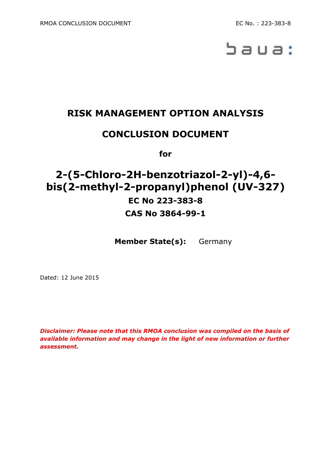

# **RISK MANAGEMENT OPTION ANALYSIS**

# **CONCLUSION DOCUMENT**

**for**

# **2-(5-Chloro-2H-benzotriazol-2-yl)-4,6 bis(2-methyl-2-propanyl)phenol (UV-327) EC No 223-383-8 CAS No 3864-99-1**

**Member State(s):** Germany

Dated: 12 June 2015

*Disclaimer: Please note that this RMOA conclusion was compiled on the basis of available information and may change in the light of new information or further assessment.*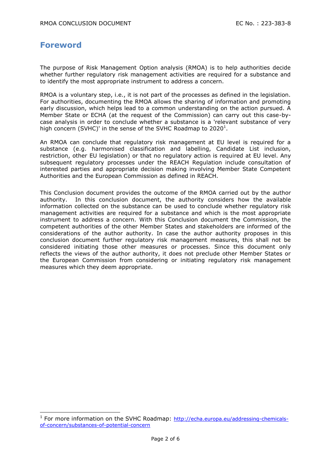#### **Foreword**

-

The purpose of Risk Management Option analysis (RMOA) is to help authorities decide whether further regulatory risk management activities are required for a substance and to identify the most appropriate instrument to address a concern.

RMOA is a voluntary step, i.e., it is not part of the processes as defined in the legislation. For authorities, documenting the RMOA allows the sharing of information and promoting early discussion, which helps lead to a common understanding on the action pursued. A Member State or ECHA (at the request of the Commission) can carry out this case-bycase analysis in order to conclude whether a substance is a 'relevant substance of very high concern (SVHC)' in the sense of the SVHC Roadmap to 2020<sup>1</sup>.

An RMOA can conclude that regulatory risk management at EU level is required for a substance (e.g. harmonised classification and labelling, Candidate List inclusion, restriction, other EU legislation) or that no regulatory action is required at EU level. Any subsequent regulatory processes under the REACH Regulation include consultation of interested parties and appropriate decision making involving Member State Competent Authorities and the European Commission as defined in REACH.

This Conclusion document provides the outcome of the RMOA carried out by the author authority. In this conclusion document, the authority considers how the available information collected on the substance can be used to conclude whether regulatory risk management activities are required for a substance and which is the most appropriate instrument to address a concern. With this Conclusion document the Commission, the competent authorities of the other Member States and stakeholders are informed of the considerations of the author authority. In case the author authority proposes in this conclusion document further regulatory risk management measures, this shall not be considered initiating those other measures or processes. Since this document only reflects the views of the author authority, it does not preclude other Member States or the European Commission from considering or initiating regulatory risk management measures which they deem appropriate.

<sup>&</sup>lt;sup>1</sup> For more information on the SVHC Roadmap: [http://echa.europa.eu/addressing-chemicals](http://echa.europa.eu/addressing-chemicals-of-concern/substances-of-potential-concern)[of-concern/substances-of-potential-concern](http://echa.europa.eu/addressing-chemicals-of-concern/substances-of-potential-concern)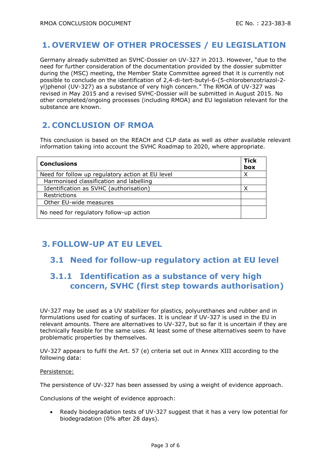### **1. OVERVIEW OF OTHER PROCESSES / EU LEGISLATION**

Germany already submitted an SVHC-Dossier on UV-327 in 2013. However, "due to the need for further consideration of the documentation provided by the dossier submitter during the (MSC) meeting, the Member State Committee agreed that it is currently not possible to conclude on the identification of 2,4-di-tert-butyl-6-(5-chlorobenzotriazol-2 yl)phenol (UV-327) as a substance of very high concern." The RMOA of UV-327 was revised in May 2015 and a revised SVHC-Dossier will be submitted in August 2015. No other completed/ongoing processes (including RMOA) and EU legislation relevant for the substance are known.

## **2. CONCLUSION OF RMOA**

This conclusion is based on the REACH and CLP data as well as other available relevant information taking into account the SVHC Roadmap to 2020, where appropriate.

| <b>Conclusions</b>                               | <b>Tick</b><br>box |
|--------------------------------------------------|--------------------|
| Need for follow up regulatory action at EU level | Χ                  |
| Harmonised classification and labelling          |                    |
| Identification as SVHC (authorisation)           | v                  |
| Restrictions                                     |                    |
| Other EU-wide measures                           |                    |
| No need for regulatory follow-up action          |                    |

## **3. FOLLOW-UP AT EU LEVEL**

#### **3.1 Need for follow-up regulatory action at EU level**

## **3.1.1 Identification as a substance of very high concern, SVHC (first step towards authorisation)**

UV-327 may be used as a UV stabilizer for plastics, polyurethanes and rubber and in formulations used for coating of surfaces. It is unclear if UV-327 is used in the EU in relevant amounts. There are alternatives to UV-327, but so far it is uncertain if they are technically feasible for the same uses. At least some of these alternatives seem to have problematic properties by themselves.

UV-327 appears to fulfil the Art. 57 (e) criteria set out in Annex XIII according to the following data:

#### Persistence:

The persistence of UV-327 has been assessed by using a weight of evidence approach.

Conclusions of the weight of evidence approach:

 Ready biodegradation tests of UV-327 suggest that it has a very low potential for biodegradation (0% after 28 days).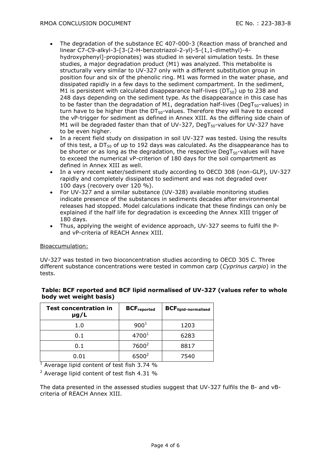- The degradation of the substance EC 407-000-3 (Reaction mass of branched and linear C7-C9-alkyl-3-[3-(2-H-benzotriazol-2-yl)-5-(1,1-dimethyl)-4 hydroxyphenyl]-propionates) was studied in several simulation tests. In these studies, a major degradation product (M1) was analyzed. This metabolite is structurally very similar to UV-327 only with a different substitution group in position four and six of the phenolic ring. M1 was formed in the water phase, and dissipated rapidly in a few days to the sediment compartment. In the sediment, M1 is persistent with calculated disappearance half-lives ( $DT_{50}$ ) up to 238 and 248 days depending on the sediment type. As the disappearance in this case has to be faster than the degradation of M1, degradation half-lives (DegT $_{50}$ -values) in turn have to be higher than the  $DT<sub>50</sub>$ -values. Therefore they will have to exceed the vP-trigger for sediment as defined in Annex XIII. As the differing side chain of M1 will be degraded faster than that of UV-327, DegT<sub>50</sub>-values for UV-327 have to be even higher.
- In a recent field study on dissipation in soil UV-327 was tested. Using the results of this test, a  $DT_{50}$  of up to 192 days was calculated. As the disappearance has to be shorter or as long as the degradation, the respective DegT $_{50}$ -values will have to exceed the numerical vP-criterion of 180 days for the soil compartment as defined in Annex XIII as well.
- In a very recent water/sediment study according to OECD 308 (non-GLP), UV-327 rapidly and completely dissipated to sediment and was not degraded over 100 days (recovery over 120 %).
- For UV-327 and a similar substance (UV-328) available monitoring studies indicate presence of the substances in sediments decades after environmental releases had stopped. Model calculations indicate that these findings can only be explained if the half life for degradation is exceeding the Annex XIII trigger of 180 days.
- Thus, applying the weight of evidence approach, UV-327 seems to fulfil the Pand vP-criteria of REACH Annex XIII.

#### Bioaccumulation:

UV-327 was tested in two bioconcentration studies according to OECD 305 C. Three different substance concentrations were tested in common carp (*Cyprinus carpio*) in the tests.

#### **Table: BCF reported and BCF lipid normalised of UV-327 (values refer to whole body wet weight basis)**

| <b>Test concentration in</b><br>$\mu$ g/L | <b>BCF</b> reported | <b>BCF</b> lipid-normalised |
|-------------------------------------------|---------------------|-----------------------------|
| 1.0                                       | 900 <sup>1</sup>    | 1203                        |
| 0.1                                       | 4700 <sup>1</sup>   | 6283                        |
| 0.1                                       | $7600^2$            | 8817                        |
| 0.01                                      | $6500^2$            | 7540                        |

 $\frac{1}{1}$  Average lipid content of test fish 3.74 %

 $2$  Average lipid content of test fish 4.31 %

The data presented in the assessed studies suggest that UV-327 fulfils the B- and vBcriteria of REACH Annex XIII.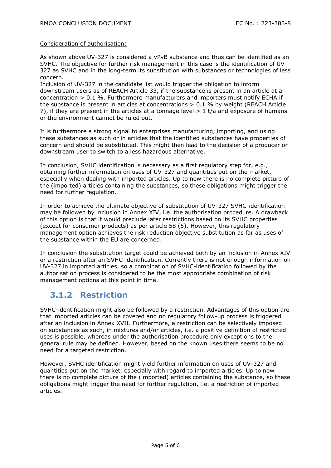#### Consideration of authorisation:

As shown above UV-327 is considered a vPvB substance and thus can be identified as an SVHC. The objective for further risk management in this case is the identification of UV-327 as SVHC and in the long-term its substitution with substances or technologies of less concern.

Inclusion of UV-327 in the candidate list would trigger the obligation to inform downstream users as of REACH Article 33, if the substance is present in an article at a concentration  $> 0.1$  %. Furthermore manufacturers and importers must notify ECHA if the substance is present in articles at concentrations  $> 0.1$  % by weight (REACH Article 7), if they are present in the articles at a tonnage level  $> 1$  t/a and exposure of humans or the environment cannot be ruled out.

It is furthermore a strong signal to enterprises manufacturing, importing, and using these substances as such or in articles that the identified substances have properties of concern and should be substituted. This might then lead to the decision of a producer or downstream user to switch to a less hazardous alternative.

In conclusion, SVHC identification is necessary as a first regulatory step for, e.g., obtaining further information on uses of UV-327 and quantities put on the market, especially when dealing with imported articles. Up to now there is no complete picture of the (imported) articles containing the substances, so these obligations might trigger the need for further regulation.

In order to achieve the ultimate objective of substitution of UV-327 SVHC-identification may be followed by inclusion in Annex XIV, i.e. the authorisation procedure. A drawback of this option is that it would preclude later restrictions based on its SVHC properties (except for consumer products) as per article 58 (5). However, this regulatory management option achieves the risk reduction objective substitution as far as uses of the substance within the EU are concerned.

In conclusion the substitution target could be achieved both by an inclusion in Annex XIV or a restriction after an SVHC-identification. Currently there is not enough information on UV-327 in imported articles, so a combination of SVHC-identification followed by the authorisation process is considered to be the most appropriate combination of risk management options at this point in time.

## **3.1.2 Restriction**

SVHC-identification might also be followed by a restriction. Advantages of this option are that imported articles can be covered and no regulatory follow-up process is triggered after an inclusion in Annex XVII. Furthermore, a restriction can be selectively imposed on substances as such, in mixtures and/or articles, i.e. a positive definition of restricted uses is possible, whereas under the authorisation procedure only exceptions to the general rule may be defined. However, based on the known uses there seems to be no need for a targeted restriction.

However, SVHC identification might yield further information on uses of UV-327 and quantities put on the market, especially with regard to imported articles. Up to now there is no complete picture of the (imported) articles containing the substance, so these obligations might trigger the need for further regulation, i.e. a restriction of imported articles.